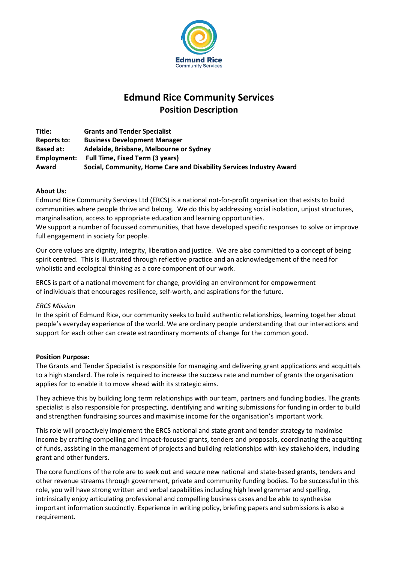

# **Edmund Rice Community Services Position Description**

**Title: Grants and Tender Specialist Reports to: Business Development Manager Based at: Adelaide, Brisbane, Melbourne or Sydney Employment: Full Time, Fixed Term (3 years) Award Social, Community, Home Care and Disability Services Industry Award**

### **About Us:**

Edmund Rice Community Services Ltd (ERCS) is a national not-for-profit organisation that exists to build communities where people thrive and belong. We do this by addressing social isolation, unjust structures, marginalisation, access to appropriate education and learning opportunities.

We support a number of focussed communities, that have developed specific responses to solve or improve full engagement in society for people.

Our core values are dignity, integrity, liberation and justice. We are also committed to a concept of being spirit centred. This is illustrated through reflective practice and an acknowledgement of the need for wholistic and ecological thinking as a core component of our work.

ERCS is part of a national movement for change, providing an environment for empowerment of individuals that encourages resilience, self-worth, and aspirations for the future.

#### *ERCS Mission*

In the spirit of Edmund Rice, our community seeks to build authentic relationships, learning together about people's everyday experience of the world. We are ordinary people understanding that our interactions and support for each other can create extraordinary moments of change for the common good.

#### **Position Purpose:**

The Grants and Tender Specialist is responsible for managing and delivering grant applications and acquittals to a high standard. The role is required to increase the success rate and number of grants the organisation applies for to enable it to move ahead with its strategic aims.

They achieve this by building long term relationships with our team, partners and funding bodies. The grants specialist is also responsible for prospecting, identifying and writing submissions for funding in order to build and strengthen fundraising sources and maximise income for the organisation's important work.

This role will proactively implement the ERCS national and state grant and tender strategy to maximise income by crafting compelling and impact-focused grants, tenders and proposals, coordinating the acquitting of funds, assisting in the management of projects and building relationships with key stakeholders, including grant and other funders.

The core functions of the role are to seek out and secure new national and state-based grants, tenders and other revenue streams through government, private and community funding bodies. To be successful in this role, you will have strong written and verbal capabilities including high level grammar and spelling, intrinsically enjoy articulating professional and compelling business cases and be able to synthesise important information succinctly. Experience in writing policy, briefing papers and submissions is also a requirement.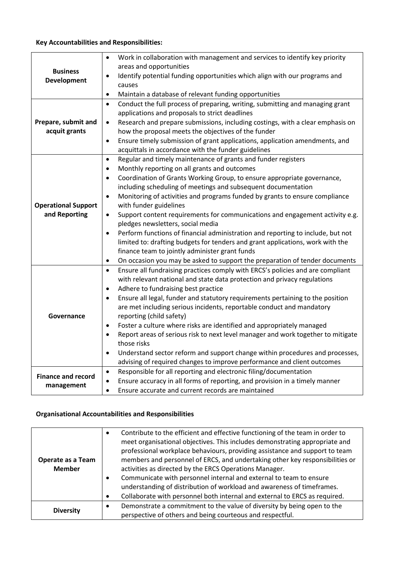# **Key Accountabilities and Responsibilities:**

| <b>Business</b><br><b>Development</b> | Work in collaboration with management and services to identify key priority<br>$\bullet$<br>areas and opportunities                                                     |
|---------------------------------------|-------------------------------------------------------------------------------------------------------------------------------------------------------------------------|
|                                       | Identify potential funding opportunities which align with our programs and<br>٠                                                                                         |
|                                       | causes                                                                                                                                                                  |
|                                       | Maintain a database of relevant funding opportunities<br>$\bullet$                                                                                                      |
| Prepare, submit and<br>acquit grants  | Conduct the full process of preparing, writing, submitting and managing grant<br>$\bullet$                                                                              |
|                                       | applications and proposals to strict deadlines                                                                                                                          |
|                                       | Research and prepare submissions, including costings, with a clear emphasis on<br>$\bullet$                                                                             |
|                                       | how the proposal meets the objectives of the funder                                                                                                                     |
|                                       | Ensure timely submission of grant applications, application amendments, and<br>$\bullet$                                                                                |
|                                       | acquittals in accordance with the funder guidelines                                                                                                                     |
|                                       | Regular and timely maintenance of grants and funder registers<br>$\bullet$                                                                                              |
|                                       | Monthly reporting on all grants and outcomes<br>$\bullet$                                                                                                               |
|                                       | Coordination of Grants Working Group, to ensure appropriate governance,<br>$\bullet$                                                                                    |
|                                       | including scheduling of meetings and subsequent documentation                                                                                                           |
|                                       | Monitoring of activities and programs funded by grants to ensure compliance<br>$\bullet$                                                                                |
| <b>Operational Support</b>            | with funder guidelines                                                                                                                                                  |
| and Reporting                         | Support content requirements for communications and engagement activity e.g.<br>$\bullet$                                                                               |
|                                       | pledges newsletters, social media                                                                                                                                       |
|                                       | Perform functions of financial administration and reporting to include, but not<br>$\bullet$                                                                            |
|                                       | limited to: drafting budgets for tenders and grant applications, work with the                                                                                          |
|                                       | finance team to jointly administer grant funds                                                                                                                          |
|                                       | On occasion you may be asked to support the preparation of tender documents<br>٠                                                                                        |
|                                       | Ensure all fundraising practices comply with ERCS's policies and are compliant<br>$\bullet$<br>with relevant national and state data protection and privacy regulations |
|                                       | Adhere to fundraising best practice<br>$\bullet$                                                                                                                        |
|                                       | Ensure all legal, funder and statutory requirements pertaining to the position                                                                                          |
|                                       | $\bullet$<br>are met including serious incidents, reportable conduct and mandatory                                                                                      |
| Governance                            | reporting (child safety)                                                                                                                                                |
|                                       | Foster a culture where risks are identified and appropriately managed<br>$\bullet$                                                                                      |
|                                       | Report areas of serious risk to next level manager and work together to mitigate<br>$\bullet$                                                                           |
|                                       | those risks                                                                                                                                                             |
|                                       | Understand sector reform and support change within procedures and processes,<br>$\bullet$                                                                               |
|                                       | advising of required changes to improve performance and client outcomes                                                                                                 |
|                                       | Responsible for all reporting and electronic filing/documentation<br>$\bullet$                                                                                          |
| <b>Finance and record</b>             | Ensure accuracy in all forms of reporting, and provision in a timely manner<br>٠                                                                                        |
| management                            | Ensure accurate and current records are maintained<br>$\bullet$                                                                                                         |

# **Organisational Accountabilities and Responsibilities**

| Operate as a Team<br><b>Member</b> | Contribute to the efficient and effective functioning of the team in order to<br>meet organisational objectives. This includes demonstrating appropriate and<br>professional workplace behaviours, providing assistance and support to team<br>members and personnel of ERCS, and undertaking other key responsibilities or<br>activities as directed by the ERCS Operations Manager.<br>Communicate with personnel internal and external to team to ensure<br>understanding of distribution of workload and awareness of timeframes.<br>Collaborate with personnel both internal and external to ERCS as required. |
|------------------------------------|---------------------------------------------------------------------------------------------------------------------------------------------------------------------------------------------------------------------------------------------------------------------------------------------------------------------------------------------------------------------------------------------------------------------------------------------------------------------------------------------------------------------------------------------------------------------------------------------------------------------|
| <b>Diversity</b>                   | Demonstrate a commitment to the value of diversity by being open to the<br>$\bullet$<br>perspective of others and being courteous and respectful.                                                                                                                                                                                                                                                                                                                                                                                                                                                                   |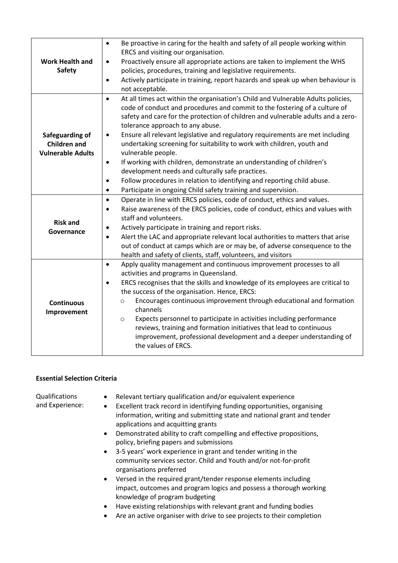| <b>Work Health and</b><br><b>Safety</b>                            | Be proactive in caring for the health and safety of all people working within<br>$\bullet$<br>ERCS and visiting our organisation.<br>Proactively ensure all appropriate actions are taken to implement the WHS<br>$\bullet$<br>policies, procedures, training and legislative requirements.<br>Actively participate in training, report hazards and speak up when behaviour is<br>$\bullet$<br>not acceptable.                                                                                                                                                                                                                                                                                                                                                                                           |
|--------------------------------------------------------------------|----------------------------------------------------------------------------------------------------------------------------------------------------------------------------------------------------------------------------------------------------------------------------------------------------------------------------------------------------------------------------------------------------------------------------------------------------------------------------------------------------------------------------------------------------------------------------------------------------------------------------------------------------------------------------------------------------------------------------------------------------------------------------------------------------------|
| Safeguarding of<br><b>Children and</b><br><b>Vulnerable Adults</b> | At all times act within the organisation's Child and Vulnerable Adults policies,<br>$\bullet$<br>code of conduct and procedures and commit to the fostering of a culture of<br>safety and care for the protection of children and vulnerable adults and a zero-<br>tolerance approach to any abuse.<br>Ensure all relevant legislative and regulatory requirements are met including<br>٠<br>undertaking screening for suitability to work with children, youth and<br>vulnerable people.<br>If working with children, demonstrate an understanding of children's<br>$\bullet$<br>development needs and culturally safe practices.<br>Follow procedures in relation to identifying and reporting child abuse.<br>$\bullet$<br>Participate in ongoing Child safety training and supervision.<br>$\bullet$ |
| <b>Risk and</b><br>Governance                                      | Operate in line with ERCS policies, code of conduct, ethics and values.<br>$\bullet$<br>Raise awareness of the ERCS policies, code of conduct, ethics and values with<br>$\bullet$<br>staff and volunteers.<br>Actively participate in training and report risks.<br>٠<br>Alert the LAC and appropriate relevant local authorities to matters that arise<br>$\bullet$<br>out of conduct at camps which are or may be, of adverse consequence to the<br>health and safety of clients, staff, volunteers, and visitors                                                                                                                                                                                                                                                                                     |
| <b>Continuous</b><br>Improvement                                   | Apply quality management and continuous improvement processes to all<br>$\bullet$<br>activities and programs in Queensland.<br>ERCS recognises that the skills and knowledge of its employees are critical to<br>the success of the organisation. Hence, ERCS:<br>Encourages continuous improvement through educational and formation<br>$\circ$<br>channels<br>Expects personnel to participate in activities including performance<br>$\circ$<br>reviews, training and formation initiatives that lead to continuous<br>improvement, professional development and a deeper understanding of<br>the values of ERCS.                                                                                                                                                                                     |

## **Essential Selection Criteria**

• Relevant tertiary qualification and/or equivalent experience

Qualifications and Experience:

- 
- Excellent track record in identifying funding opportunities, organising information, writing and submitting state and national grant and tender applications and acquitting grants
- Demonstrated ability to craft compelling and effective propositions, policy, briefing papers and submissions
- 3-5 years' work experience in grant and tender writing in the community services sector. Child and Youth and/or not-for-profit organisations preferred
- Versed in the required grant/tender response elements including impact, outcomes and program logics and possess a thorough working knowledge of program budgeting
- Have existing relationships with relevant grant and funding bodies
- Are an active organiser with drive to see projects to their completion